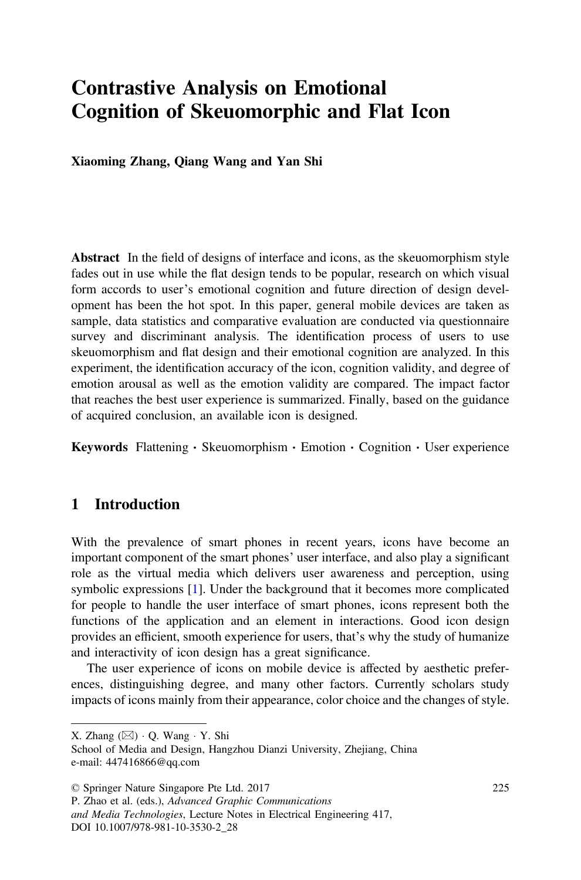# Contrastive Analysis on Emotional Cognition of Skeuomorphic and Flat Icon

Xiaoming Zhang, Qiang Wang and Yan Shi

Abstract In the field of designs of interface and icons, as the skeuomorphism style fades out in use while the flat design tends to be popular, research on which visual form accords to user's emotional cognition and future direction of design development has been the hot spot. In this paper, general mobile devices are taken as sample, data statistics and comparative evaluation are conducted via questionnaire survey and discriminant analysis. The identification process of users to use skeuomorphism and flat design and their emotional cognition are analyzed. In this experiment, the identification accuracy of the icon, cognition validity, and degree of emotion arousal as well as the emotion validity are compared. The impact factor that reaches the best user experience is summarized. Finally, based on the guidance of acquired conclusion, an available icon is designed.

**Keywords** Flattening  $\cdot$  Skeuomorphism  $\cdot$  Emotion  $\cdot$  Cognition  $\cdot$  User experience

# 1 Introduction

With the prevalence of smart phones in recent years, icons have become an important component of the smart phones' user interface, and also play a significant role as the virtual media which delivers user awareness and perception, using symbolic expressions [1]. Under the background that it becomes more complicated for people to handle the user interface of smart phones, icons represent both the functions of the application and an element in interactions. Good icon design provides an efficient, smooth experience for users, that's why the study of humanize and interactivity of icon design has a great significance.

The user experience of icons on mobile device is affected by aesthetic preferences, distinguishing degree, and many other factors. Currently scholars study impacts of icons mainly from their appearance, color choice and the changes of style.

X. Zhang  $(\boxtimes)$  · O. Wang · Y. Shi

School of Media and Design, Hangzhou Dianzi University, Zhejiang, China e-mail: 447416866@qq.com

<sup>©</sup> Springer Nature Singapore Pte Ltd. 2017

P. Zhao et al. (eds.), Advanced Graphic Communications

and Media Technologies, Lecture Notes in Electrical Engineering 417, DOI 10.1007/978-981-10-3530-2\_28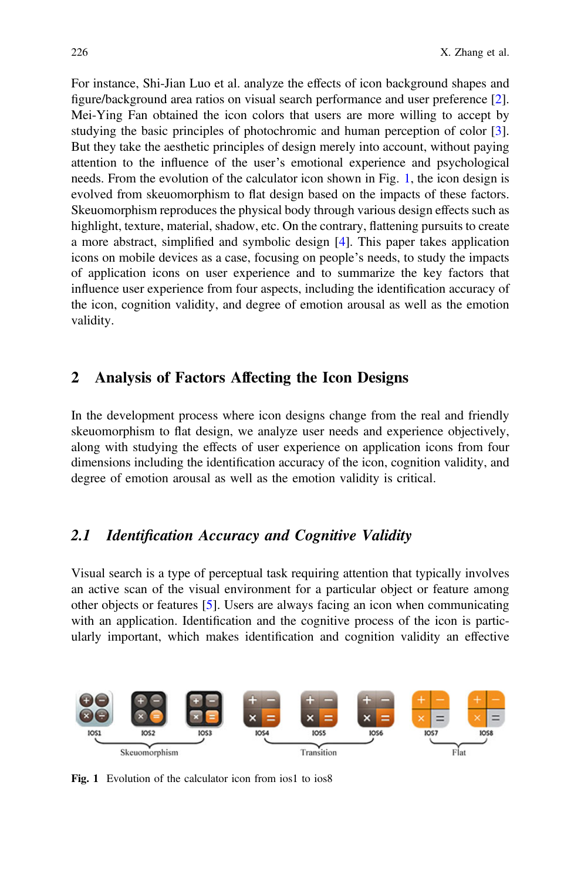For instance, Shi-Jian Luo et al. analyze the effects of icon background shapes and figure/background area ratios on visual search performance and user preference [2]. Mei-Ying Fan obtained the icon colors that users are more willing to accept by studying the basic principles of photochromic and human perception of color [3]. But they take the aesthetic principles of design merely into account, without paying attention to the influence of the user's emotional experience and psychological needs. From the evolution of the calculator icon shown in Fig. 1, the icon design is evolved from skeuomorphism to flat design based on the impacts of these factors. Skeuomorphism reproduces the physical body through various design effects such as highlight, texture, material, shadow, etc. On the contrary, flattening pursuits to create a more abstract, simplified and symbolic design [4]. This paper takes application icons on mobile devices as a case, focusing on people's needs, to study the impacts of application icons on user experience and to summarize the key factors that influence user experience from four aspects, including the identification accuracy of the icon, cognition validity, and degree of emotion arousal as well as the emotion validity.

#### 2 Analysis of Factors Affecting the Icon Designs

In the development process where icon designs change from the real and friendly skeuomorphism to flat design, we analyze user needs and experience objectively, along with studying the effects of user experience on application icons from four dimensions including the identification accuracy of the icon, cognition validity, and degree of emotion arousal as well as the emotion validity is critical.

# 2.1 Identification Accuracy and Cognitive Validity

Visual search is a type of perceptual task requiring attention that typically involves an active scan of the visual environment for a particular object or feature among other objects or features [5]. Users are always facing an icon when communicating with an application. Identification and the cognitive process of the icon is particularly important, which makes identification and cognition validity an effective



Fig. 1 Evolution of the calculator icon from ios1 to ios8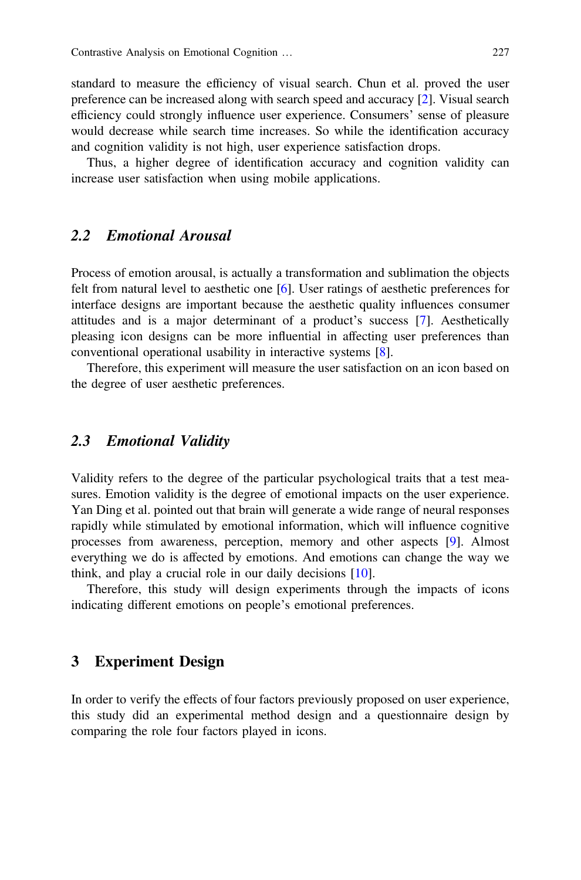standard to measure the efficiency of visual search. Chun et al. proved the user preference can be increased along with search speed and accuracy [2]. Visual search efficiency could strongly influence user experience. Consumers' sense of pleasure would decrease while search time increases. So while the identification accuracy and cognition validity is not high, user experience satisfaction drops.

Thus, a higher degree of identification accuracy and cognition validity can increase user satisfaction when using mobile applications.

## 2.2 Emotional Arousal

Process of emotion arousal, is actually a transformation and sublimation the objects felt from natural level to aesthetic one [6]. User ratings of aesthetic preferences for interface designs are important because the aesthetic quality influences consumer attitudes and is a major determinant of a product's success [7]. Aesthetically pleasing icon designs can be more influential in affecting user preferences than conventional operational usability in interactive systems [8].

Therefore, this experiment will measure the user satisfaction on an icon based on the degree of user aesthetic preferences.

#### 2.3 Emotional Validity

Validity refers to the degree of the particular psychological traits that a test measures. Emotion validity is the degree of emotional impacts on the user experience. Yan Ding et al. pointed out that brain will generate a wide range of neural responses rapidly while stimulated by emotional information, which will influence cognitive processes from awareness, perception, memory and other aspects [9]. Almost everything we do is affected by emotions. And emotions can change the way we think, and play a crucial role in our daily decisions [10].

Therefore, this study will design experiments through the impacts of icons indicating different emotions on people's emotional preferences.

#### 3 Experiment Design

In order to verify the effects of four factors previously proposed on user experience, this study did an experimental method design and a questionnaire design by comparing the role four factors played in icons.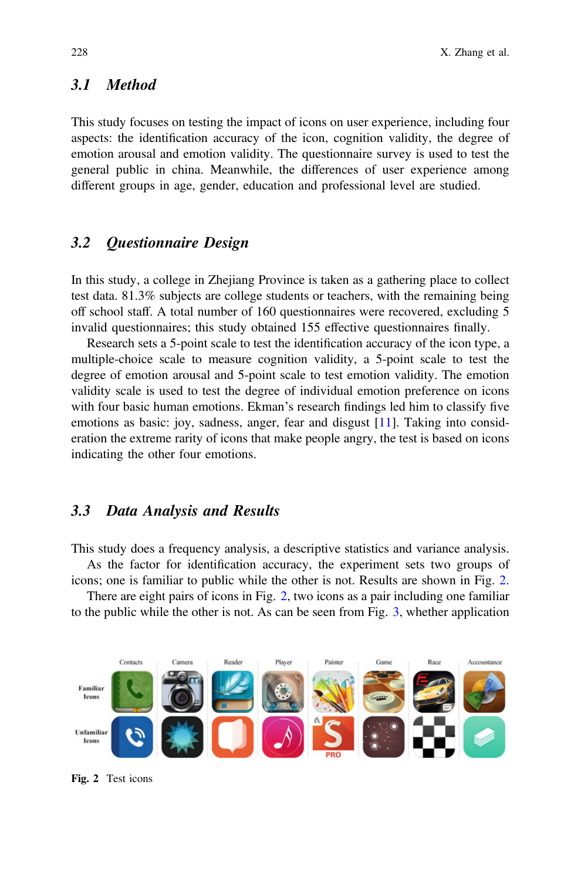# 3.1 Method

This study focuses on testing the impact of icons on user experience, including four aspects: the identification accuracy of the icon, cognition validity, the degree of emotion arousal and emotion validity. The questionnaire survey is used to test the general public in china. Meanwhile, the differences of user experience among different groups in age, gender, education and professional level are studied.

## 3.2 Questionnaire Design

In this study, a college in Zhejiang Province is taken as a gathering place to collect test data. 81.3% subjects are college students or teachers, with the remaining being off school staff. A total number of 160 questionnaires were recovered, excluding 5 invalid questionnaires; this study obtained 155 effective questionnaires finally.

Research sets a 5-point scale to test the identification accuracy of the icon type, a multiple-choice scale to measure cognition validity, a 5-point scale to test the degree of emotion arousal and 5-point scale to test emotion validity. The emotion validity scale is used to test the degree of individual emotion preference on icons with four basic human emotions. Ekman's research findings led him to classify five emotions as basic: joy, sadness, anger, fear and disgust [11]. Taking into consideration the extreme rarity of icons that make people angry, the test is based on icons indicating the other four emotions.

#### 3.3 Data Analysis and Results

This study does a frequency analysis, a descriptive statistics and variance analysis.

As the factor for identification accuracy, the experiment sets two groups of

icons; one is familiar to public while the other is not. Results are shown in Fig. 2. There are eight pairs of icons in Fig. 2, two icons as a pair including one familiar to the public while the other is not. As can be seen from Fig. 3, whether application



Fig. 2 Test icons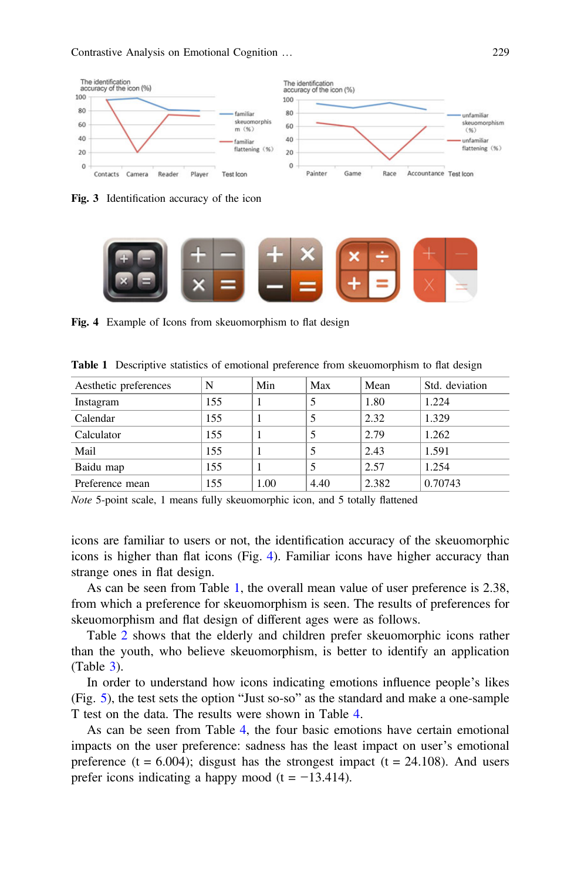

Fig. 3 Identification accuracy of the icon



Fig. 4 Example of Icons from skeuomorphism to flat design

| Aesthetic preferences | N   | Min  | Max  | Mean  | Std. deviation |
|-----------------------|-----|------|------|-------|----------------|
| Instagram             | 155 |      |      | 1.80  | 1.224          |
| Calendar              | 155 |      |      | 2.32  | 1.329          |
| Calculator            | 155 |      |      | 2.79  | 1.262          |
| Mail                  | 155 |      |      | 2.43  | 1.591          |
| Baidu map             | 155 |      |      | 2.57  | 1.254          |
| Preference mean       | 155 | 1.00 | 4.40 | 2.382 | 0.70743        |

Table 1 Descriptive statistics of emotional preference from skeuomorphism to flat design

Note 5-point scale, 1 means fully skeuomorphic icon, and 5 totally flattened

icons are familiar to users or not, the identification accuracy of the skeuomorphic icons is higher than flat icons (Fig. 4). Familiar icons have higher accuracy than strange ones in flat design.

As can be seen from Table 1, the overall mean value of user preference is 2.38, from which a preference for skeuomorphism is seen. The results of preferences for skeuomorphism and flat design of different ages were as follows.

Table 2 shows that the elderly and children prefer skeuomorphic icons rather than the youth, who believe skeuomorphism, is better to identify an application (Table 3).

In order to understand how icons indicating emotions influence people's likes (Fig. 5), the test sets the option "Just so-so" as the standard and make a one-sample T test on the data. The results were shown in Table 4.

As can be seen from Table 4, the four basic emotions have certain emotional impacts on the user preference: sadness has the least impact on user's emotional preference (t =  $6.004$ ); disgust has the strongest impact (t =  $24.108$ ). And users prefer icons indicating a happy mood (t =  $-13.414$ ).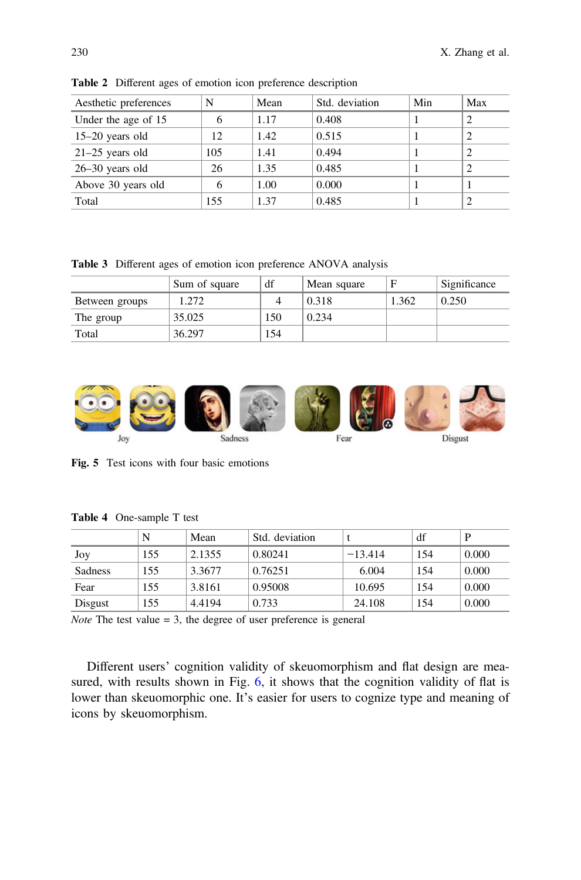| Aesthetic preferences |     | Mean | Std. deviation | Min | Max |
|-----------------------|-----|------|----------------|-----|-----|
| Under the age of 15   | 6   | 1.17 | 0.408          |     |     |
| $15-20$ years old     | 12  | 1.42 | 0.515          |     |     |
| $21-25$ years old     | 105 | 1.41 | 0.494          |     |     |
| $26-30$ years old     | 26  | 1.35 | 0.485          |     |     |
| Above 30 years old    | 6   | 1.00 | 0.000          |     |     |
| Total                 | 155 | 1.37 | 0.485          |     |     |

Table 2 Different ages of emotion icon preference description

Table 3 Different ages of emotion icon preference ANOVA analysis

|                | Sum of square | df  | Mean square |       | Significance |
|----------------|---------------|-----|-------------|-------|--------------|
| Between groups | 1.272         |     | 0.318       | 1.362 | 0.250        |
| The group      | 35.025        | 150 | 0.234       |       |              |
| Total          | 36.297        | 154 |             |       |              |



Fig. 5 Test icons with four basic emotions

|                | N   | Mean   | Std. deviation |           | df  | D     |
|----------------|-----|--------|----------------|-----------|-----|-------|
| Joy            | 155 | 2.1355 | 0.80241        | $-13.414$ | 154 | 0.000 |
| <b>Sadness</b> | 155 | 3.3677 | 0.76251        | 6.004     | 154 | 0.000 |
| Fear           | 155 | 3.8161 | 0.95008        | 10.695    | 154 | 0.000 |
| Disgust        | 155 | 4.4194 | 0.733          | 24.108    | 154 | 0.000 |

Table 4 One-sample T test

*Note* The test value  $= 3$ , the degree of user preference is general

Different users' cognition validity of skeuomorphism and flat design are measured, with results shown in Fig. 6, it shows that the cognition validity of flat is lower than skeuomorphic one. It's easier for users to cognize type and meaning of icons by skeuomorphism.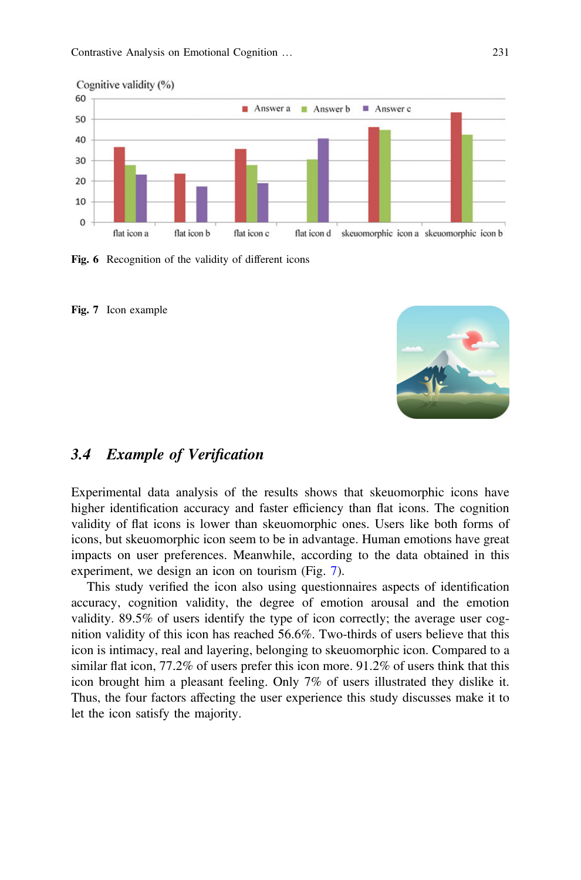

Fig. 6 Recognition of the validity of different icons





## 3.4 Example of Verification

Experimental data analysis of the results shows that skeuomorphic icons have higher identification accuracy and faster efficiency than flat icons. The cognition validity of flat icons is lower than skeuomorphic ones. Users like both forms of icons, but skeuomorphic icon seem to be in advantage. Human emotions have great impacts on user preferences. Meanwhile, according to the data obtained in this experiment, we design an icon on tourism (Fig. 7).

This study verified the icon also using questionnaires aspects of identification accuracy, cognition validity, the degree of emotion arousal and the emotion validity. 89.5% of users identify the type of icon correctly; the average user cognition validity of this icon has reached 56.6%. Two-thirds of users believe that this icon is intimacy, real and layering, belonging to skeuomorphic icon. Compared to a similar flat icon, 77.2% of users prefer this icon more. 91.2% of users think that this icon brought him a pleasant feeling. Only 7% of users illustrated they dislike it. Thus, the four factors affecting the user experience this study discusses make it to let the icon satisfy the majority.